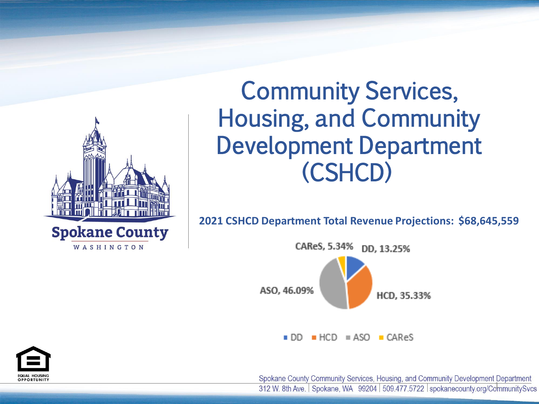

# Community Services, Housing, and Community Development Department (CSHCD)

**2021 CSHCD Department Total Revenue Projections: \$68,645,559**



Spokane County Community Services, Housing, and Community Development Department<br>312 W. 8th Ave. | Spokane, WA 99204 | 509.477.5722 | spokanecounty.org/CommunitySvcs



DD, 13.25%

HCD, 35.33%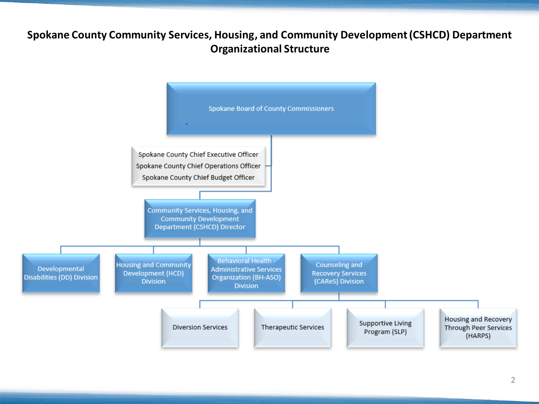### **Spokane County Community Services, Housing, and Community Development (CSHCD) Department Organizational Structure**



Supportive Living Program (SLP)

Housing and Recovery Through Peer Services (HARPS)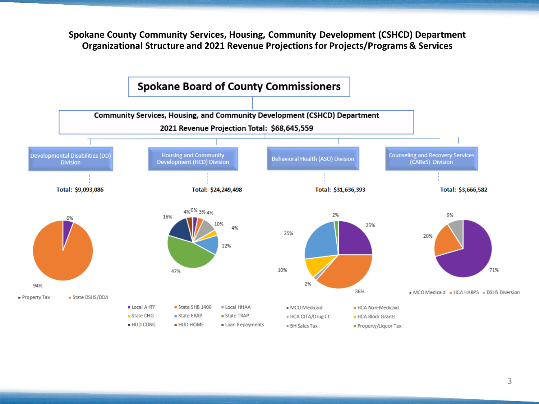**Spokane County Community Services, Housing, Community Development (CSHCD) Department Organizational Structure and 2021 Revenue Projections for Projects/Programs & Services**

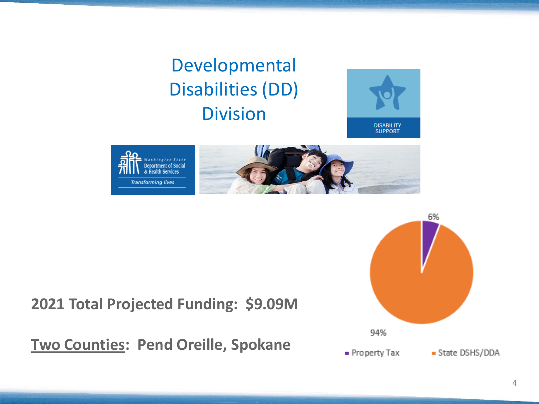4

## Developmental Disabilities (DD) Division





### **2021 Total Projected Funding: \$9.09M**

**Two Counties: Pend Oreille, Spokane**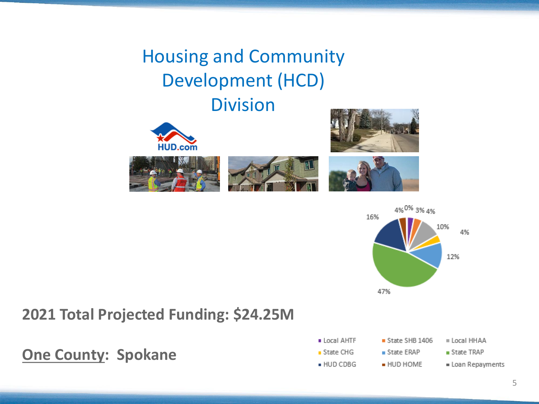## Housing and Community Development (HCD) Division









16%





### **One County: Spokane**

- Local AHTF
- $\blacksquare$  State CHG
- HUD CDBG
- $S$ tate SHB 1406
- $\blacksquare$  State ERAP
- $=$  HUD HOME
- Local HHAA
- $\blacksquare$  State TRAP
- = Loan Repayments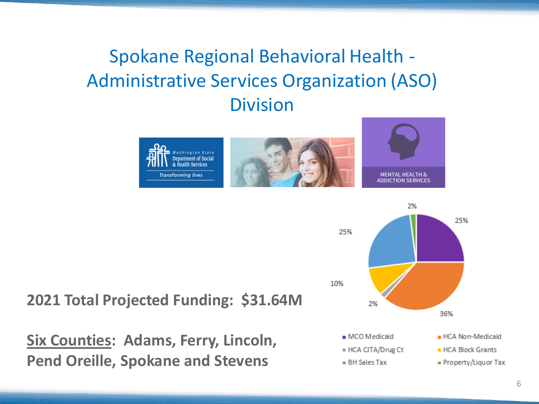## Spokane Regional Behavioral Health - Administrative Services Organization (ASO) Division





**Six Counties: Adams, Ferry, Lincoln, Pend Oreille, Spokane and Stevens**

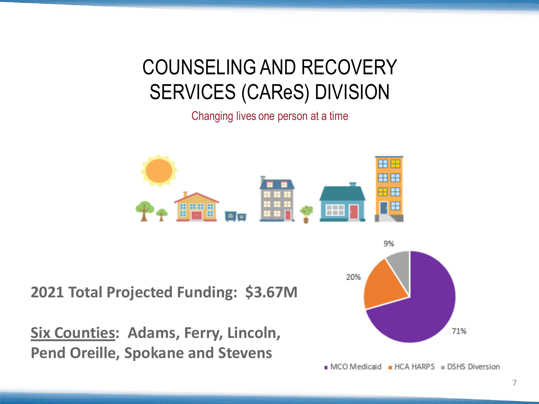# COUNSELING AND RECOVERY SERVICES (CAReS) DIVISION

Changing lives one person at a time



**2021 Total Projected Funding: \$3.67M**

**Six Counties: Adams, Ferry, Lincoln, Pend Oreille, Spokane and Stevens**

20%

MCO Medicaid HCA HARPS = DSHS Diversion



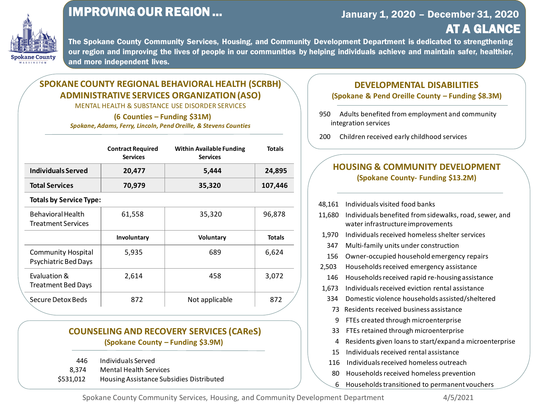

### IMPROVING OUR REGION …

The Spokane County Community Services, Housing, and Community Development Department is dedicated to strengthening our region and improving the lives of people in our communities by helping individuals achieve and maintain safer, healthier, and more independent lives.

> visited food banks benefited from sidewalks, road, sewer, and structure improvements received homeless shelter services ly units under construction tupied household emergency repairs Is received emergency assistance Is received rapid re-housing assistance received eviction rental assistance iolence households assisted/sheltered eceived business assistance ed through microenterprise ed through microenterprise given loans to start/expand a microenterprise received rental assistance s received homeless outreach Is received homeless prevention 6 Households transitioned to permanent vouchers

### AT A GLANCE January 1, 2020 – December 31, 2020

#### **COUNSELING AND RECOVERY SERVICES (CAReS) (Spokane County – Funding \$3.9M)**

446 Individuals Served 8,374 Mental Health Services \$531,012 Housing Assistance Subsidies Distributed

### **SPOKANE COUNTY REGIONAL BEHAVIORAL HEALTH (SCRBH) ADMINISTRATIVE SERVICES ORGANIZATION (ASO)**

MENTAL HEALTH & SUBSTANCE USE DISORDER SERVICES

**(6 Counties – Funding \$31M)**

*Spokane, Adams, Ferry, Lincoln, Pend Oreille, & Stevens Counties*

### **HOUSING & COMMUNITY DEVELOPMENT (Spokane County- Funding \$13.2M)**

| 18,161 | Individuals        |
|--------|--------------------|
| 11,680 | Individuals        |
|        | water infra        |
| 1,970  | Individuals        |
| 347    | Multi-famil        |
| 156    | Owner-occ          |
| 2,503  | Household          |
| 146    | Household          |
| 1,673  | Individuals        |
| 334    | Domestic v         |
| 73     | Residents r        |
| 9      | <b>FTEs create</b> |
| 33     | FTEs retain        |
| 4      | Residents g        |
| 15     | Individuals        |
| 116    | Individuals        |
| 80     | Household          |
|        |                    |

Spokane County Community Services, Housing, and Community Development Department 4/5/2021

#### **DEVELOPMENTAL DISABILITIES (Spokane & Pend Oreille County – Funding \$8.3M)**

950 Adults benefited from employment and community integration services

200 Children received early childhood services

|                                | <b>Contract Required</b><br><b>Services</b> | <b>Within Available Funding</b><br><b>Services</b> | <b>Totals</b> |  |  |  |
|--------------------------------|---------------------------------------------|----------------------------------------------------|---------------|--|--|--|
| Individuals Served             | 20,477                                      | 5,444                                              | 24,895        |  |  |  |
| <b>Total Services</b>          | 70,979                                      | 35,320                                             | 107,446       |  |  |  |
| <b>Totals by Service Type:</b> |                                             |                                                    |               |  |  |  |
| <b>Behavioral Health</b>       | 61,558                                      | 35,320                                             | 96,878        |  |  |  |

| <b>Treatment Services</b>                                |             |                  |               |
|----------------------------------------------------------|-------------|------------------|---------------|
|                                                          | Involuntary | <b>Voluntary</b> | <b>Totals</b> |
| <b>Community Hospital</b><br><b>Psychiatric Bed Days</b> | 5,935       | 689              | 6,624         |
| Evaluation &<br><b>Treatment Bed Days</b>                | 2,614       | 458              | 3,072         |
| <b>Secure Detox Beds</b>                                 | 872         | Not applicable   | 872           |